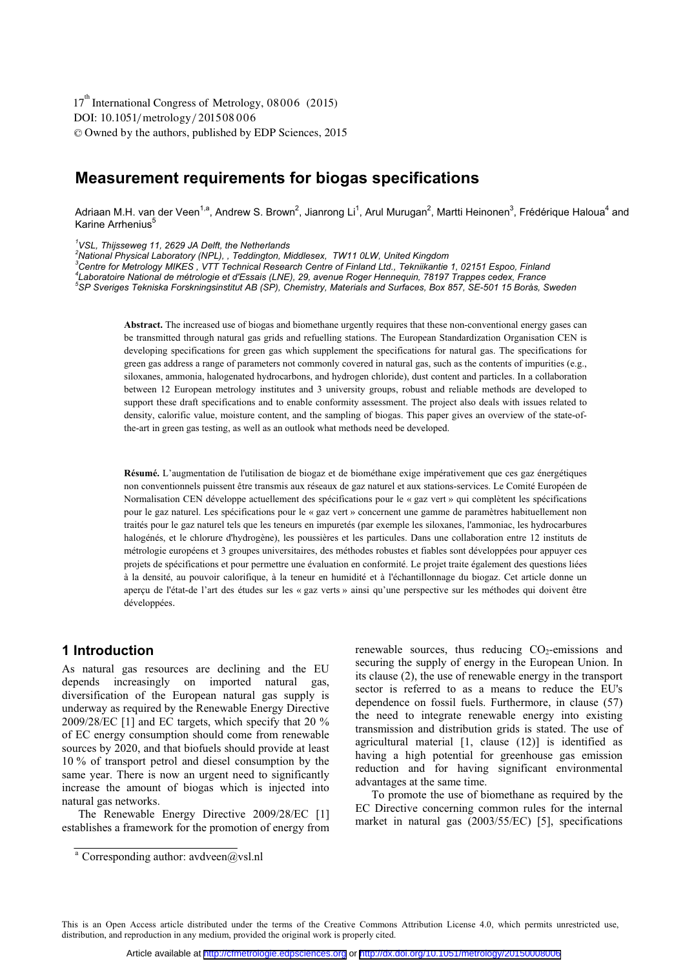DOI: 10.1051/metrology/201508006 -<sup>C</sup> Owned by the authors, published by EDP Sciences, 2015 17<sup>th</sup> International Congress of Metrology, 08006 (2015)

# **Measurement requirements for biogas specifications**

Adriaan M.H. van der Veen<sup>1,a</sup>, Andrew S. Brown<sup>2</sup>, Jianrong Li<sup>1</sup>, Arul Murugan<sup>2</sup>, Martti Heinonen<sup>3</sup>, Frédérique Haloua<sup>4</sup> and Karine Arrhenius<sup>5</sup>

*1 VSL, Thijsseweg 11, 2629 JA Delft, the Netherlands* 

*2 National Physical Laboratory (NPL), , Teddington, Middlesex, TW11 0LW, United Kingdom* 

<sup>3</sup> Centre for Metrology MIKES , VTT Technical Research Centre of Finland Ltd., Tekniikantie 1, 02151 Espoo, Finland<br><sup>4</sup> cherateire Netional de métrologie et d'Espoie (LNE), 29, evenue Beser Hennesujn, 79107 Trannes esdev. *Laboratoire National de métrologie et d'Essais (LNE), 29, avenue Roger Hennequin, 78197 Trappes cedex, France 5 SP Sveriges Tekniska Forskningsinstitut AB (SP), Chemistry, Materials and Surfaces, Box 857, SE-501 15 Borås, Sweden* 

**Abstract.** The increased use of biogas and biomethane urgently requires that these non-conventional energy gases can be transmitted through natural gas grids and refuelling stations. The European Standardization Organisation CEN is developing specifications for green gas which supplement the specifications for natural gas. The specifications for green gas address a range of parameters not commonly covered in natural gas, such as the contents of impurities (e.g., siloxanes, ammonia, halogenated hydrocarbons, and hydrogen chloride), dust content and particles. In a collaboration between 12 European metrology institutes and 3 university groups, robust and reliable methods are developed to support these draft specifications and to enable conformity assessment. The project also deals with issues related to density, calorific value, moisture content, and the sampling of biogas. This paper gives an overview of the state-ofthe-art in green gas testing, as well as an outlook what methods need be developed.

**Résumé.** L'augmentation de l'utilisation de biogaz et de biométhane exige impérativement que ces gaz énergétiques non conventionnels puissent être transmis aux réseaux de gaz naturel et aux stations-services. Le Comité Européen de Normalisation CEN développe actuellement des spécifications pour le « gaz vert » qui complètent les spécifications pour le gaz naturel. Les spécifications pour le « gaz vert » concernent une gamme de paramètres habituellement non traités pour le gaz naturel tels que les teneurs en impuretés (par exemple les siloxanes, l'ammoniac, les hydrocarbures halogénés, et le chlorure d'hydrogène), les poussières et les particules. Dans une collaboration entre 12 instituts de métrologie européens et 3 groupes universitaires, des méthodes robustes et fiables sont développées pour appuyer ces projets de spécifications et pour permettre une évaluation en conformité. Le projet traite également des questions liées à la densité, au pouvoir calorifique, à la teneur en humidité et à l'échantillonnage du biogaz. Cet article donne un aperçu de l'état-de l'art des études sur les « gaz verts » ainsi qu'une perspective sur les méthodes qui doivent être développées.

### **1 Introduction**

As natural gas resources are declining and the EU depends increasingly on imported natural gas, diversification of the European natural gas supply is underway as required by the Renewable Energy Directive 2009/28/EC [1] and EC targets, which specify that 20 % of EC energy consumption should come from renewable sources by 2020, and that biofuels should provide at least 10 % of transport petrol and diesel consumption by the same year. There is now an urgent need to significantly increase the amount of biogas which is injected into natural gas networks.

The Renewable Energy Directive 2009/28/EC [1] establishes a framework for the promotion of energy from renewable sources, thus reducing  $CO<sub>2</sub>$ -emissions and securing the supply of energy in the European Union. In its clause (2), the use of renewable energy in the transport sector is referred to as a means to reduce the EU's dependence on fossil fuels. Furthermore, in clause (57) the need to integrate renewable energy into existing transmission and distribution grids is stated. The use of agricultural material [1, clause (12)] is identified as having a high potential for greenhouse gas emission reduction and for having significant environmental advantages at the same time.

To promote the use of biomethane as required by the EC Directive concerning common rules for the internal market in natural gas (2003/55/EC) [5], specifications

This is an Open Access article distributed under the terms of the Creative Commons Attribution License 4.0, which permits unrestricted use, distribution, and reproduction in any medium, provided the original work is properly cited.

<sup>&</sup>lt;sup>a</sup> Corresponding author:  $\frac{1}{2}$  avdveen $\left(\frac{a}{c}\right)$  vsl.nl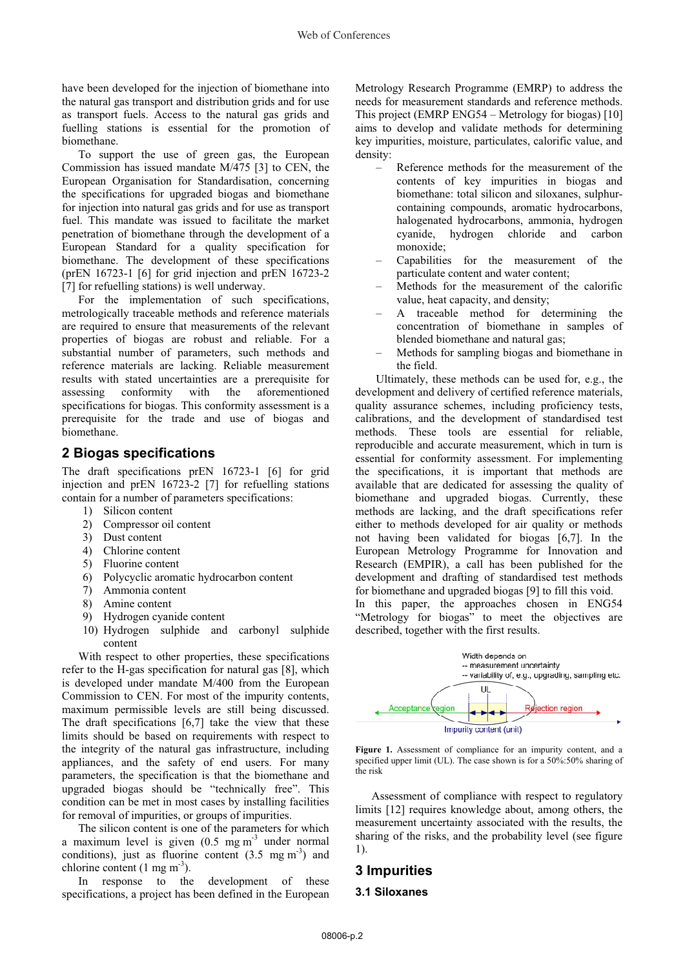have been developed for the injection of biomethane into the natural gas transport and distribution grids and for use as transport fuels. Access to the natural gas grids and fuelling stations is essential for the promotion of biomethane.

To support the use of green gas, the European Commission has issued mandate M/475 [3] to CEN, the European Organisation for Standardisation, concerning the specifications for upgraded biogas and biomethane for injection into natural gas grids and for use as transport fuel. This mandate was issued to facilitate the market penetration of biomethane through the development of a European Standard for a quality specification for biomethane. The development of these specifications (prEN 16723-1 [6] for grid injection and prEN 16723-2 [7] for refuelling stations) is well underway.

For the implementation of such specifications, metrologically traceable methods and reference materials are required to ensure that measurements of the relevant properties of biogas are robust and reliable. For a substantial number of parameters, such methods and reference materials are lacking. Reliable measurement results with stated uncertainties are a prerequisite for assessing conformity with the aforementioned specifications for biogas. This conformity assessment is a prerequisite for the trade and use of biogas and biomethane.

### **2 Biogas specifications**

The draft specifications prEN 16723-1 [6] for grid injection and prEN 16723-2 [7] for refuelling stations contain for a number of parameters specifications:

- 1) Silicon content
- 2) Compressor oil content
- 3) Dust content
- 4) Chlorine content
- 5) Fluorine content
- 6) Polycyclic aromatic hydrocarbon content
- 7) Ammonia content
- 8) Amine content
- 9) Hydrogen cyanide content
- 10) Hydrogen sulphide and carbonyl sulphide content

With respect to other properties, these specifications refer to the H-gas specification for natural gas [8], which is developed under mandate M/400 from the European Commission to CEN. For most of the impurity contents, maximum permissible levels are still being discussed. The draft specifications  $[6,7]$  take the view that these limits should be based on requirements with respect to the integrity of the natural gas infrastructure, including appliances, and the safety of end users. For many parameters, the specification is that the biomethane and upgraded biogas should be "technically free". This condition can be met in most cases by installing facilities for removal of impurities, or groups of impurities.

The silicon content is one of the parameters for which a maximum level is given  $(0.5 \text{ mg m}^{-3})$  under normal conditions), just as fluorine content  $(3.5 \text{ mg m}^3)$  and chlorine content  $(1 \text{ mg } \text{m}^3)$ .

In response to the development of these specifications, a project has been defined in the European

Metrology Research Programme (EMRP) to address the needs for measurement standards and reference methods. This project (EMRP ENG54 – Metrology for biogas) [10] aims to develop and validate methods for determining key impurities, moisture, particulates, calorific value, and density:

- Reference methods for the measurement of the contents of key impurities in biogas and biomethane: total silicon and siloxanes, sulphurcontaining compounds, aromatic hydrocarbons, halogenated hydrocarbons, ammonia, hydrogen cyanide, hydrogen chloride and carbon monoxide;
- Capabilities for the measurement of the particulate content and water content;
- Methods for the measurement of the calorific value, heat capacity, and density;
- A traceable method for determining the concentration of biomethane in samples of blended biomethane and natural gas;
- Methods for sampling biogas and biomethane in the field.

Ultimately, these methods can be used for, e.g., the development and delivery of certified reference materials, quality assurance schemes, including proficiency tests, calibrations, and the development of standardised test methods. These tools are essential for reliable, reproducible and accurate measurement, which in turn is essential for conformity assessment. For implementing the specifications, it is important that methods are available that are dedicated for assessing the quality of biomethane and upgraded biogas. Currently, these methods are lacking, and the draft specifications refer either to methods developed for air quality or methods not having been validated for biogas [6,7]. In the European Metrology Programme for Innovation and Research (EMPIR), a call has been published for the development and drafting of standardised test methods for biomethane and upgraded biogas [9] to fill this void. In this paper, the approaches chosen in ENG54

"Metrology for biogas" to meet the objectives are described, together with the first results.



Figure 1. Assessment of compliance for an impurity content, and a specified upper limit (UL). The case shown is for a 50%:50% sharing of the risk

Assessment of compliance with respect to regulatory limits [12] requires knowledge about, among others, the measurement uncertainty associated with the results, the sharing of the risks, and the probability level (see figure 1).

### **3 Impurities**

#### **3.1 Siloxanes**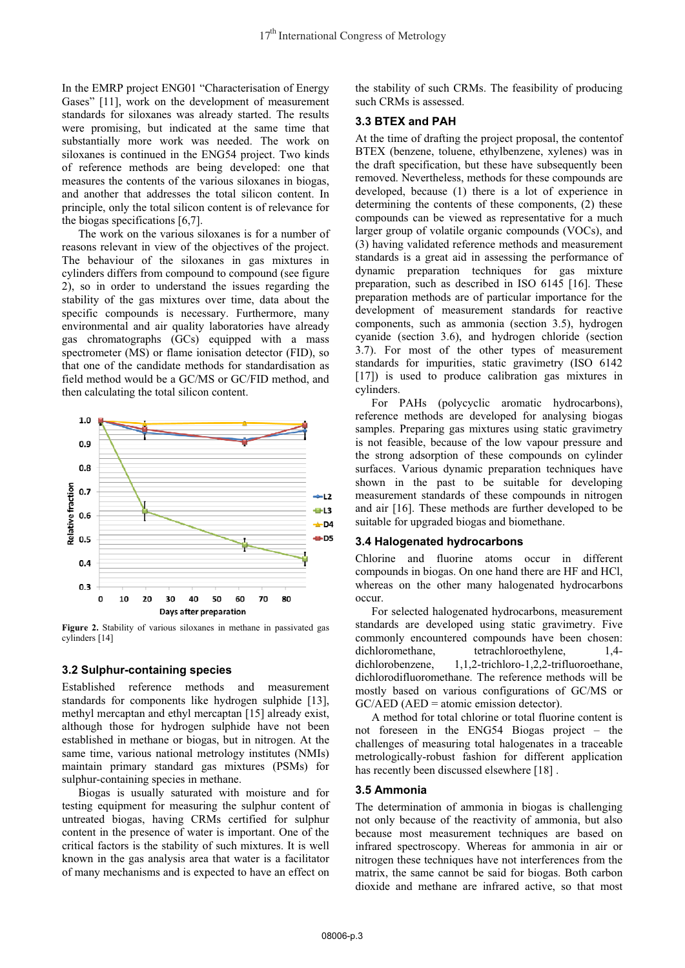In the EMRP project ENG01 "Characterisation of Energy Gases" [11], work on the development of measurement standards for siloxanes was already started. The results were promising, but indicated at the same time that substantially more work was needed. The work on siloxanes is continued in the ENG54 project. Two kinds of reference methods are being developed: one that measures the contents of the various siloxanes in biogas, and another that addresses the total silicon content. In principle, only the total silicon content is of relevance for the biogas specifications [6,7].

The work on the various siloxanes is for a number of reasons relevant in view of the objectives of the project. The behaviour of the siloxanes in gas mixtures in cylinders differs from compound to compound (see figure 2), so in order to understand the issues regarding the stability of the gas mixtures over time, data about the specific compounds is necessary. Furthermore, many environmental and air quality laboratories have already gas chromatographs (GCs) equipped with a mass spectrometer (MS) or flame ionisation detector (FID), so that one of the candidate methods for standardisation as field method would be a GC/MS or GC/FID method, and then calculating the total silicon content.



**Figure 2.** Stability of various siloxanes in methane in passivated gas cylinders [14]

#### **3.2 Sulphur-containing species**

Established reference methods and measurement standards for components like hydrogen sulphide [13], methyl mercaptan and ethyl mercaptan [15] already exist, although those for hydrogen sulphide have not been established in methane or biogas, but in nitrogen. At the same time, various national metrology institutes (NMIs) maintain primary standard gas mixtures (PSMs) for sulphur-containing species in methane.

Biogas is usually saturated with moisture and for testing equipment for measuring the sulphur content of untreated biogas, having CRMs certified for sulphur content in the presence of water is important. One of the critical factors is the stability of such mixtures. It is well known in the gas analysis area that water is a facilitator of many mechanisms and is expected to have an effect on

the stability of such CRMs. The feasibility of producing such CRMs is assessed.

#### **3.3 BTEX and PAH**

At the time of drafting the project proposal, the contentof BTEX (benzene, toluene, ethylbenzene, xylenes) was in the draft specification, but these have subsequently been removed. Nevertheless, methods for these compounds are developed, because (1) there is a lot of experience in determining the contents of these components, (2) these compounds can be viewed as representative for a much larger group of volatile organic compounds (VOCs), and (3) having validated reference methods and measurement standards is a great aid in assessing the performance of dynamic preparation techniques for gas mixture preparation, such as described in ISO 6145 [16]. These preparation methods are of particular importance for the development of measurement standards for reactive components, such as ammonia (section 3.5), hydrogen cyanide (section 3.6), and hydrogen chloride (section 3.7). For most of the other types of measurement standards for impurities, static gravimetry (ISO 6142 [17]) is used to produce calibration gas mixtures in cylinders.

For PAHs (polycyclic aromatic hydrocarbons), reference methods are developed for analysing biogas samples. Preparing gas mixtures using static gravimetry is not feasible, because of the low vapour pressure and the strong adsorption of these compounds on cylinder surfaces. Various dynamic preparation techniques have shown in the past to be suitable for developing measurement standards of these compounds in nitrogen and air [16]. These methods are further developed to be suitable for upgraded biogas and biomethane.

#### **3.4 Halogenated hydrocarbons**

Chlorine and fluorine atoms occur in different compounds in biogas. On one hand there are HF and HCl, whereas on the other many halogenated hydrocarbons occur.

For selected halogenated hydrocarbons, measurement standards are developed using static gravimetry. Five commonly encountered compounds have been chosen: dichloromethane, tetrachloroethylene, 1,4dichlorobenzene, 1,1,2-trichloro-1,2,2-trifluoroethane, dichlorodifluoromethane. The reference methods will be mostly based on various configurations of GC/MS or  $GC/ AED$  ( $AED = atomic emission detector$ ).

A method for total chlorine or total fluorine content is not foreseen in the ENG54 Biogas project – the challenges of measuring total halogenates in a traceable metrologically-robust fashion for different application has recently been discussed elsewhere [18].

#### **3.5 Ammonia**

The determination of ammonia in biogas is challenging not only because of the reactivity of ammonia, but also because most measurement techniques are based on infrared spectroscopy. Whereas for ammonia in air or nitrogen these techniques have not interferences from the matrix, the same cannot be said for biogas. Both carbon dioxide and methane are infrared active, so that most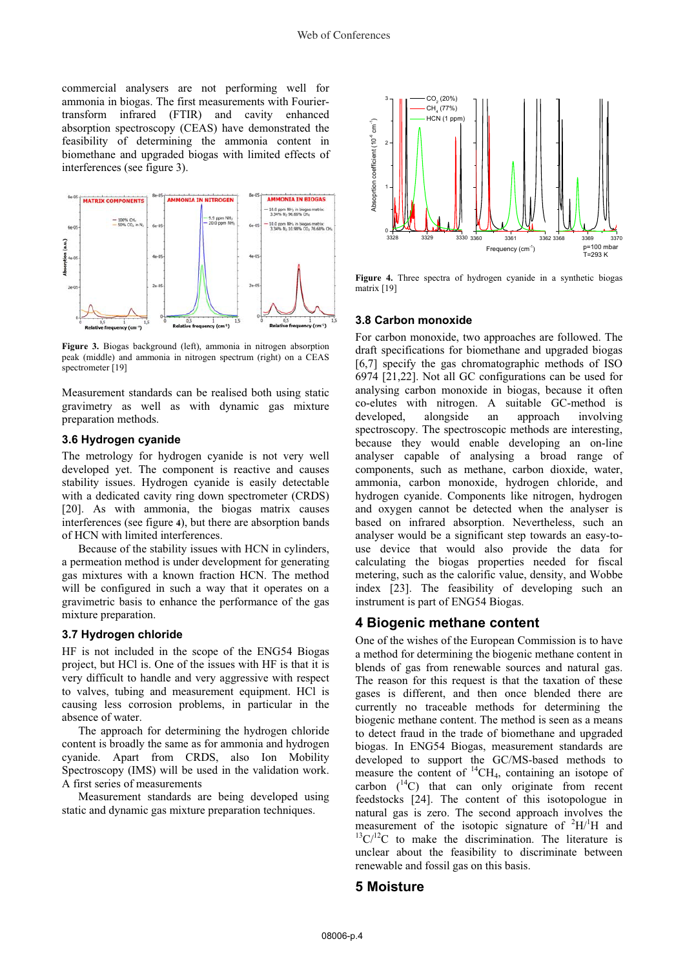commercial analysers are not performing well for ammonia in biogas. The first measurements with Fouriertransform infrared (FTIR) and cavity enhanced absorption spectroscopy (CEAS) have demonstrated the feasibility of determining the ammonia content in biomethane and upgraded biogas with limited effects of interferences (see figure 3).



**Figure 3.** Biogas background (left), ammonia in nitrogen absorption peak (middle) and ammonia in nitrogen spectrum (right) on a CEAS spectrometer [19]

Measurement standards can be realised both using static gravimetry as well as with dynamic gas mixture preparation methods.

#### **3.6 Hydrogen cyanide**

The metrology for hydrogen cyanide is not very well developed yet. The component is reactive and causes stability issues. Hydrogen cyanide is easily detectable with a dedicated cavity ring down spectrometer (CRDS) [20]. As with ammonia, the biogas matrix causes interferences (see figure **4**), but there are absorption bands of HCN with limited interferences.

Because of the stability issues with HCN in cylinders, a permeation method is under development for generating gas mixtures with a known fraction HCN. The method will be configured in such a way that it operates on a gravimetric basis to enhance the performance of the gas mixture preparation.

#### **3.7 Hydrogen chloride**

HF is not included in the scope of the ENG54 Biogas project, but HCl is. One of the issues with HF is that it is very difficult to handle and very aggressive with respect to valves, tubing and measurement equipment. HCl is causing less corrosion problems, in particular in the absence of water.

The approach for determining the hydrogen chloride content is broadly the same as for ammonia and hydrogen cyanide. Apart from CRDS, also Ion Mobility Spectroscopy (IMS) will be used in the validation work. A first series of measurements

Measurement standards are being developed using static and dynamic gas mixture preparation techniques.



**Figure 4.** Three spectra of hydrogen cyanide in a synthetic biogas matrix [19]

#### **3.8 Carbon monoxide**

For carbon monoxide, two approaches are followed. The draft specifications for biomethane and upgraded biogas [6,7] specify the gas chromatographic methods of ISO 6974 [21,22]. Not all GC configurations can be used for analysing carbon monoxide in biogas, because it often co-elutes with nitrogen. A suitable GC-method is developed, alongside an approach involving spectroscopy. The spectroscopic methods are interesting, because they would enable developing an on-line analyser capable of analysing a broad range of components, such as methane, carbon dioxide, water, ammonia, carbon monoxide, hydrogen chloride, and hydrogen cyanide. Components like nitrogen, hydrogen and oxygen cannot be detected when the analyser is based on infrared absorption. Nevertheless, such an analyser would be a significant step towards an easy-touse device that would also provide the data for calculating the biogas properties needed for fiscal metering, such as the calorific value, density, and Wobbe index [23]. The feasibility of developing such an instrument is part of ENG54 Biogas.

#### **4 Biogenic methane content**

One of the wishes of the European Commission is to have a method for determining the biogenic methane content in blends of gas from renewable sources and natural gas. The reason for this request is that the taxation of these gases is different, and then once blended there are currently no traceable methods for determining the biogenic methane content. The method is seen as a means to detect fraud in the trade of biomethane and upgraded biogas. In ENG54 Biogas, measurement standards are developed to support the GC/MS-based methods to measure the content of  $^{14}CH_4$ , containing an isotope of carbon  $(^{14}C)$  that can only originate from recent feedstocks [24]. The content of this isotopologue in natural gas is zero. The second approach involves the measurement of the isotopic signature of  ${}^{2}H/I$  $^{13}C/^{12}C$  to make the discrimination. The literature is unclear about the feasibility to discriminate between renewable and fossil gas on this basis.

### **5 Moisture**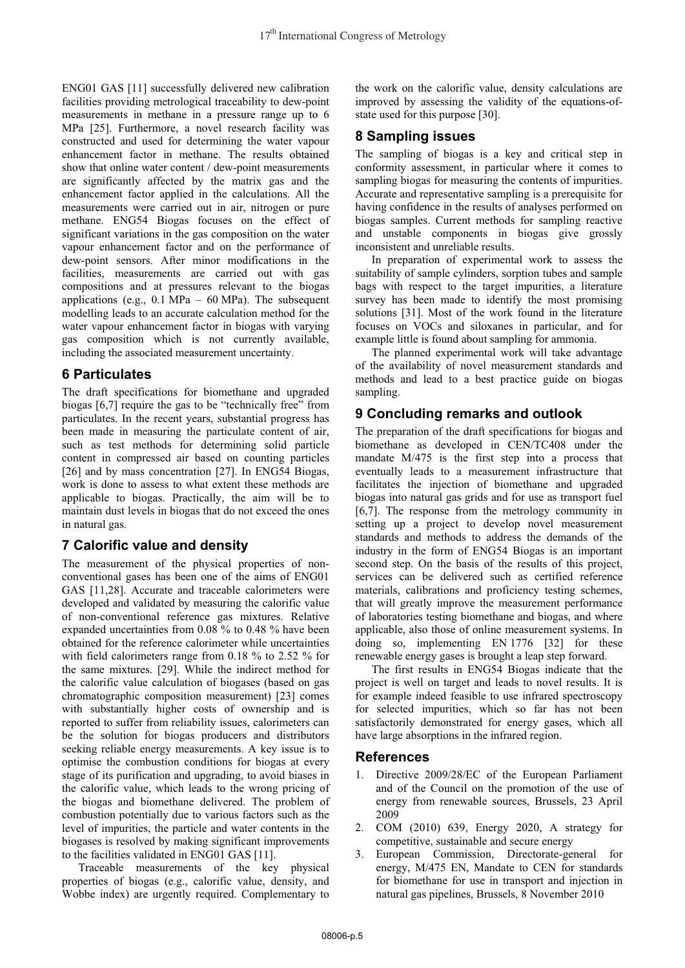ENG01 GAS [11] successfully delivered new calibration facilities providing metrological traceability to dew-point measurements in methane in a pressure range up to 6 MPa [25]. Furthermore, a novel research facility was constructed and used for determining the water vapour enhancement factor in methane. The results obtained show that online water content / dew-point measurements are significantly affected by the matrix gas and the enhancement factor applied in the calculations. All the measurements were carried out in air, nitrogen or pure methane. ENG54 Biogas focuses on the effect of significant variations in the gas composition on the water vapour enhancement factor and on the performance of dew-point sensors. After minor modifications in the facilities, measurements are carried out with gas compositions and at pressures relevant to the biogas applications (e.g.,  $0.1 \text{ MPa} - 60 \text{ MPa}$ ). The subsequent modelling leads to an accurate calculation method for the water vapour enhancement factor in biogas with varying gas composition which is not currently available, including the associated measurement uncertainty.

## **6 Particulates**

The draft specifications for biomethane and upgraded biogas [6,7] require the gas to be "technically free" from particulates. In the recent years, substantial progress has been made in measuring the particulate content of air, such as test methods for determining solid particle content in compressed air based on counting particles [26] and by mass concentration [27]. In ENG54 Biogas, work is done to assess to what extent these methods are applicable to biogas. Practically, the aim will be to maintain dust levels in biogas that do not exceed the ones in natural gas.

## **7 Calorific value and density**

The measurement of the physical properties of nonconventional gases has been one of the aims of ENG01 GAS [11,28]. Accurate and traceable calorimeters were developed and validated by measuring the calorific value of non-conventional reference gas mixtures. Relative expanded uncertainties from 0.08 % to 0.48 % have been obtained for the reference calorimeter while uncertainties with field calorimeters range from 0.18 % to 2.52 % for the same mixtures. [29]. While the indirect method for the calorific value calculation of biogases (based on gas chromatographic composition measurement) [23] comes with substantially higher costs of ownership and is reported to suffer from reliability issues, calorimeters can be the solution for biogas producers and distributors seeking reliable energy measurements. A key issue is to optimise the combustion conditions for biogas at every stage of its purification and upgrading, to avoid biases in the calorific value, which leads to the wrong pricing of the biogas and biomethane delivered. The problem of combustion potentially due to various factors such as the level of impurities, the particle and water contents in the biogases is resolved by making significant improvements to the facilities validated in ENG01 GAS [11].

Traceable measurements of the key physical properties of biogas (e.g., calorific value, density, and Wobbe index) are urgently required. Complementary to the work on the calorific value, density calculations are improved by assessing the validity of the equations-ofstate used for this purpose [30].

## **8 Sampling issues**

The sampling of biogas is a key and critical step in conformity assessment, in particular where it comes to sampling biogas for measuring the contents of impurities. Accurate and representative sampling is a prerequisite for having confidence in the results of analyses performed on biogas samples. Current methods for sampling reactive and unstable components in biogas give grossly inconsistent and unreliable results.

In preparation of experimental work to assess the suitability of sample cylinders, sorption tubes and sample bags with respect to the target impurities, a literature survey has been made to identify the most promising solutions [31]. Most of the work found in the literature focuses on VOCs and siloxanes in particular, and for example little is found about sampling for ammonia.

The planned experimental work will take advantage of the availability of novel measurement standards and methods and lead to a best practice guide on biogas sampling.

# **9 Concluding remarks and outlook**

The preparation of the draft specifications for biogas and biomethane as developed in CEN/TC408 under the mandate M/475 is the first step into a process that eventually leads to a measurement infrastructure that facilitates the injection of biomethane and upgraded biogas into natural gas grids and for use as transport fuel [6,7]. The response from the metrology community in setting up a project to develop novel measurement standards and methods to address the demands of the industry in the form of ENG54 Biogas is an important second step. On the basis of the results of this project, services can be delivered such as certified reference materials, calibrations and proficiency testing schemes, that will greatly improve the measurement performance of laboratories testing biomethane and biogas, and where applicable, also those of online measurement systems. In doing so, implementing EN 1776 [32] for these renewable energy gases is brought a leap step forward.

The first results in ENG54 Biogas indicate that the project is well on target and leads to novel results. It is for example indeed feasible to use infrared spectroscopy for selected impurities, which so far has not been satisfactorily demonstrated for energy gases, which all have large absorptions in the infrared region.

# **References**

- 1. Directive 2009/28/EC of the European Parliament and of the Council on the promotion of the use of energy from renewable sources, Brussels, 23 April 2009
- 2. COM (2010) 639, Energy 2020, A strategy for competitive, sustainable and secure energy
- 3. European Commission, Directorate-general for energy, M/475 EN, Mandate to CEN for standards for biomethane for use in transport and injection in natural gas pipelines, Brussels, 8 November 2010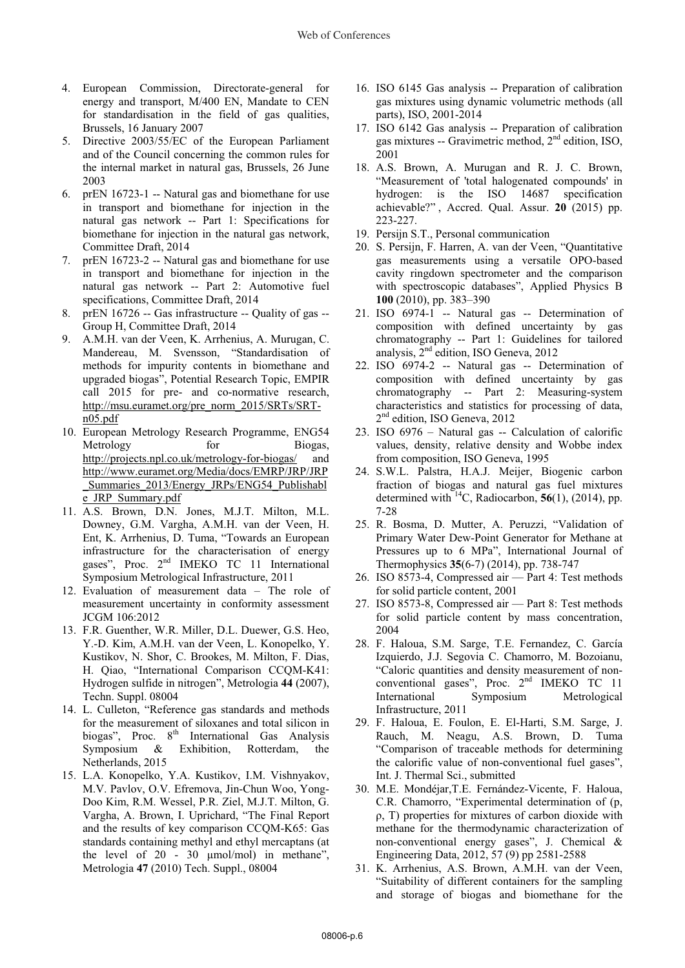- 4. European Commission, Directorate-general for energy and transport, M/400 EN, Mandate to CEN for standardisation in the field of gas qualities, Brussels, 16 January 2007
- 5. Directive 2003/55/EC of the European Parliament and of the Council concerning the common rules for the internal market in natural gas, Brussels, 26 June 2003
- 6. prEN 16723-1 -- Natural gas and biomethane for use in transport and biomethane for injection in the natural gas network -- Part 1: Specifications for biomethane for injection in the natural gas network, Committee Draft, 2014
- 7. prEN 16723-2 -- Natural gas and biomethane for use in transport and biomethane for injection in the natural gas network -- Part 2: Automotive fuel specifications, Committee Draft, 2014
- 8. prEN 16726 -- Gas infrastructure -- Quality of gas -- Group H, Committee Draft, 2014
- 9. A.M.H. van der Veen, K. Arrhenius, A. Murugan, C. Mandereau, M. Svensson, "Standardisation of methods for impurity contents in biomethane and upgraded biogas", Potential Research Topic, EMPIR call 2015 for pre- and co-normative research, http://msu.euramet.org/pre\_norm\_2015/SRTs/SRTn05.pdf
- 10. European Metrology Research Programme, ENG54 Metrology for Biogas, http://projects.npl.co.uk/metrology-for-biogas/ and http://www.euramet.org/Media/docs/EMRP/JRP/JRP \_Summaries\_2013/Energy\_JRPs/ENG54\_Publishabl e\_JRP\_Summary.pdf
- 11. A.S. Brown, D.N. Jones, M.J.T. Milton, M.L. Downey, G.M. Vargha, A.M.H. van der Veen, H. Ent, K. Arrhenius, D. Tuma, "Towards an European infrastructure for the characterisation of energy gases", Proc. 2<sup>nd</sup> IMEKO TC 11 International Symposium Metrological Infrastructure, 2011
- 12. Evaluation of measurement data The role of measurement uncertainty in conformity assessment JCGM 106:2012
- 13. F.R. Guenther, W.R. Miller, D.L. Duewer, G.S. Heo, Y.-D. Kim, A.M.H. van der Veen, L. Konopelko, Y. Kustikov, N. Shor, C. Brookes, M. Milton, F. Dias, H. Qiao, "International Comparison CCQM-K41: Hydrogen sulfide in nitrogen", Metrologia **44** (2007), Techn. Suppl. 08004
- 14. L. Culleton, "Reference gas standards and methods for the measurement of siloxanes and total silicon in biogas", Proc. 8<sup>th</sup> International Gas Analysis Symposium & Exhibition, Rotterdam, the Netherlands, 2015
- 15. L.A. Konopelko, Y.A. Kustikov, I.M. Vishnyakov, M.V. Pavlov, O.V. Efremova, Jin-Chun Woo, Yong-Doo Kim, R.M. Wessel, P.R. Ziel, M.J.T. Milton, G. Vargha, A. Brown, I. Uprichard, "The Final Report and the results of key comparison CCQM-K65: Gas standards containing methyl and ethyl mercaptans (at the level of 20 - 30 μmol/mol) in methane", Metrologia **47** (2010) Tech. Suppl., 08004
- 16. ISO 6145 Gas analysis -- Preparation of calibration gas mixtures using dynamic volumetric methods (all parts), ISO, 2001-2014
- 17. ISO 6142 Gas analysis -- Preparation of calibration gas mixtures -- Gravimetric method,  $2<sup>nd</sup>$  edition, ISO, 2001
- 18. A.S. Brown, A. Murugan and R. J. C. Brown, "Measurement of 'total halogenated compounds' in hydrogen: is the ISO 14687 specification achievable?" , Accred. Qual. Assur. **20** (2015) pp. 223-227.
- 19. Persijn S.T., Personal communication
- 20. S. Persijn, F. Harren, A. van der Veen, "Quantitative gas measurements using a versatile OPO-based cavity ringdown spectrometer and the comparison with spectroscopic databases", Applied Physics B **100** (2010), pp. 383–390
- 21. ISO 6974-1 -- Natural gas -- Determination of composition with defined uncertainty by gas chromatography -- Part 1: Guidelines for tailored analysis, 2nd edition, ISO Geneva, 2012
- 22. ISO 6974-2 -- Natural gas -- Determination of composition with defined uncertainty by gas chromatography -- Part 2: Measuring-system characteristics and statistics for processing of data, 2<sup>nd</sup> edition, ISO Geneva, 2012
- 23. ISO 6976 Natural gas -- Calculation of calorific values, density, relative density and Wobbe index from composition, ISO Geneva, 1995
- 24. S.W.L. Palstra, H.A.J. Meijer, Biogenic carbon fraction of biogas and natural gas fuel mixtures determined with  $14C$ , Radiocarbon, 56(1), (2014), pp. 7-28
- 25. R. Bosma, D. Mutter, A. Peruzzi, "Validation of Primary Water Dew-Point Generator for Methane at Pressures up to 6 MPa", International Journal of Thermophysics **35**(6-7) (2014), pp. 738-747
- 26. ISO 8573-4, Compressed air Part 4: Test methods for solid particle content, 2001
- 27. ISO 8573-8, Compressed air Part 8: Test methods for solid particle content by mass concentration, 2004
- 28. F. Haloua, S.M. Sarge, T.E. Fernandez, C. García Izquierdo, J.J. Segovia C. Chamorro, M. Bozoianu, "Caloric quantities and density measurement of nonconventional gases", Proc. 2nd IMEKO TC 11 International Symposium Metrological Infrastructure, 2011
- 29. F. Haloua, E. Foulon, E. El-Harti, S.M. Sarge, J. Rauch, M. Neagu, A.S. Brown, D. Tuma "Comparison of traceable methods for determining the calorific value of non-conventional fuel gases", Int. J. Thermal Sci., submitted
- 30. M.E. Mondéjar,T.E. Fernández-Vicente, F. Haloua, C.R. Chamorro, "Experimental determination of (p, -, T) properties for mixtures of carbon dioxide with methane for the thermodynamic characterization of non-conventional energy gases", J. Chemical & Engineering Data, 2012, 57 (9) pp 2581-2588
- 31. K. Arrhenius, A.S. Brown, A.M.H. van der Veen, "Suitability of different containers for the sampling and storage of biogas and biomethane for the